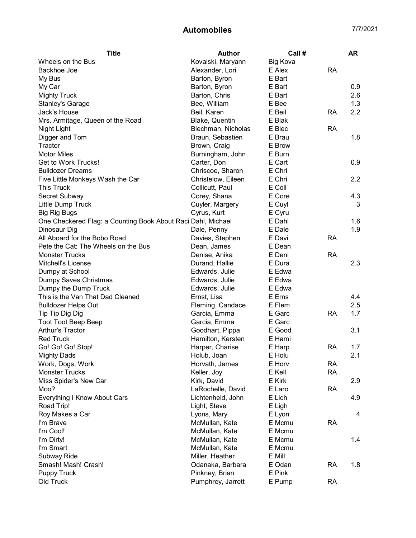| <b>Title</b>                                                 | <b>Author</b>      | Call #   |           | <b>AR</b> |
|--------------------------------------------------------------|--------------------|----------|-----------|-----------|
| Wheels on the Bus                                            | Kovalski, Maryann  | Big Kova |           |           |
| Backhoe Joe                                                  | Alexander, Lori    | E Alex   | <b>RA</b> |           |
| My Bus                                                       | Barton, Byron      | E Bart   |           |           |
| My Car                                                       | Barton, Byron      | E Bart   |           | 0.9       |
| <b>Mighty Truck</b>                                          | Barton, Chris      | E Bart   |           | 2.6       |
| Stanley's Garage                                             | Bee, William       | E Bee    |           | 1.3       |
| Jack's House                                                 | Beil, Karen        | E Beil   | RA        | 2.2       |
| Mrs. Armitage, Queen of the Road                             | Blake, Quentin     | E Blak   |           |           |
| Night Light                                                  | Blechman, Nicholas | E Blec   | RA        |           |
| Digger and Tom                                               | Braun, Sebastien   | E Brau   |           | 1.8       |
| Tractor                                                      | Brown, Craig       | E Brow   |           |           |
| <b>Motor Miles</b>                                           | Burningham, John   | E Burn   |           |           |
| Get to Work Trucks!                                          | Carter, Don        | E Cart   |           | 0.9       |
| <b>Bulldozer Dreams</b>                                      | Chriscoe, Sharon   | E Chri   |           |           |
| Five Little Monkeys Wash the Car                             | Christelow, Eileen | E Chri   |           | 2.2       |
| <b>This Truck</b>                                            | Collicutt, Paul    | E Coll   |           |           |
| Secret Subway                                                | Corey, Shana       | E Core   |           | 4.3       |
| Little Dump Truck                                            | Cuyler, Margery    | E Cuyl   |           | 3         |
| <b>Big Rig Bugs</b>                                          | Cyrus, Kurt        | E Cyru   |           |           |
| One Checkered Flag: a Counting Book About Raci Dahl, Michael |                    | E Dahl   |           | 1.6       |
| Dinosaur Dig                                                 | Dale, Penny        | E Dale   |           | 1.9       |
| All Aboard for the Bobo Road                                 | Davies, Stephen    | E Davi   | <b>RA</b> |           |
| Pete the Cat: The Wheels on the Bus                          | Dean, James        | E Dean   |           |           |
| <b>Monster Trucks</b>                                        | Denise, Anika      | E Deni   | <b>RA</b> |           |
| Mitchell's License                                           | Durand, Hallie     | E Dura   |           | 2.3       |
| Dumpy at School                                              | Edwards, Julie     | E Edwa   |           |           |
| Dumpy Saves Christmas                                        | Edwards, Julie     | E Edwa   |           |           |
| Dumpy the Dump Truck                                         | Edwards, Julie     | E Edwa   |           |           |
| This is the Van That Dad Cleaned                             | Ernst, Lisa        | E Erns   |           | 4.4       |
| <b>Bulldozer Helps Out</b>                                   | Fleming, Candace   | E Flem   |           | 2.5       |
| Tip Tip Dig Dig                                              | Garcia, Emma       | E Garc   | <b>RA</b> | 1.7       |
| <b>Toot Toot Beep Beep</b>                                   | Garcia, Emma       | E Garc   |           |           |
| Arthur's Tractor                                             | Goodhart, Pippa    | E Good   |           | 3.1       |
| <b>Red Truck</b>                                             | Hamilton, Kersten  | E Hami   |           |           |
| Go! Go! Go! Stop!                                            | Harper, Charise    | E Harp   | <b>RA</b> | 1.7       |
| <b>Mighty Dads</b>                                           | Holub, Joan        | E Holu   |           | 2.1       |
| Work, Dogs, Work                                             | Horvath, James     | E Horv   | <b>RA</b> |           |
| <b>Monster Trucks</b>                                        | Keller, Joy        | E Kell   | <b>RA</b> |           |
| Miss Spider's New Car                                        | Kirk, David        | E Kirk   |           | 2.9       |
| Moo?                                                         | LaRochelle, David  | E Laro   | <b>RA</b> |           |
| Everything I Know About Cars                                 | Lichtenheld, John  | E Lich   |           | 4.9       |
| Road Trip!                                                   | Light, Steve       | E Ligh   |           |           |
| Roy Makes a Car                                              | Lyons, Mary        | E Lyon   |           | 4         |
| I'm Brave                                                    | McMullan, Kate     | E Mcmu   | <b>RA</b> |           |
| I'm Cool!                                                    | McMullan, Kate     | E Mcmu   |           |           |
| I'm Dirty!                                                   | McMullan, Kate     | E Mcmu   |           | 1.4       |
| I'm Smart                                                    | McMullan, Kate     | E Mcmu   |           |           |
| Subway Ride                                                  | Miller, Heather    | E Mill   |           |           |
| Smash! Mash! Crash!                                          | Odanaka, Barbara   | E Odan   | <b>RA</b> | 1.8       |
| <b>Puppy Truck</b>                                           | Pinkney, Brian     | E Pink   |           |           |
| Old Truck                                                    | Pumphrey, Jarrett  | E Pump   | <b>RA</b> |           |
|                                                              |                    |          |           |           |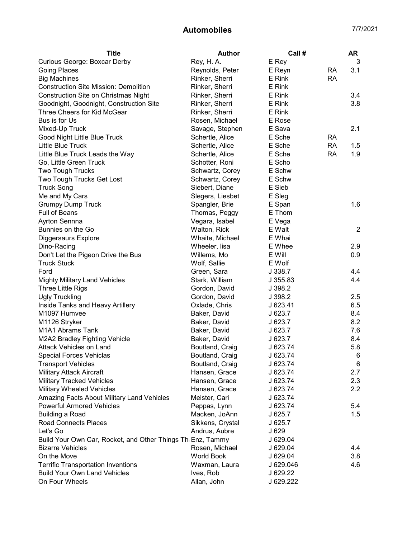| <b>Title</b>                                                | Author            | Call #    |           | AR             |
|-------------------------------------------------------------|-------------------|-----------|-----------|----------------|
| Curious George: Boxcar Derby                                | Rey, H. A.        | E Rey     |           | 3              |
| Going Places                                                | Reynolds, Peter   | E Reyn    | <b>RA</b> | 3.1            |
| <b>Big Machines</b>                                         | Rinker, Sherri    | E Rink    | <b>RA</b> |                |
| <b>Construction Site Mission: Demolition</b>                | Rinker, Sherri    | E Rink    |           |                |
| <b>Construction Site on Christmas Night</b>                 | Rinker, Sherri    | E Rink    |           | 3.4            |
| Goodnight, Goodnight, Construction Site                     | Rinker, Sherri    | E Rink    |           | 3.8            |
| Three Cheers for Kid McGear                                 | Rinker, Sherri    | E Rink    |           |                |
| Bus is for Us                                               | Rosen, Michael    | E Rose    |           |                |
| Mixed-Up Truck                                              | Savage, Stephen   | E Sava    |           | 2.1            |
| Good Night Little Blue Truck                                | Schertle, Alice   | E Sche    | RA        |                |
| Little Blue Truck                                           | Schertle, Alice   | E Sche    | <b>RA</b> | 1.5            |
| Little Blue Truck Leads the Way                             | Schertle, Alice   | E Sche    | <b>RA</b> | 1.9            |
| Go, Little Green Truck                                      | Schotter, Roni    | E Scho    |           |                |
| <b>Two Tough Trucks</b>                                     | Schwartz, Corey   | E Schw    |           |                |
| Two Tough Trucks Get Lost                                   | Schwartz, Corey   | E Schw    |           |                |
| <b>Truck Song</b>                                           | Siebert, Diane    | E Sieb    |           |                |
| Me and My Cars                                              | Slegers, Liesbet  | E Sleg    |           |                |
| <b>Grumpy Dump Truck</b>                                    | Spangler, Brie    | E Span    |           | 1.6            |
| <b>Full of Beans</b>                                        | Thomas, Peggy     | E Thom    |           |                |
| Ayrton Sennna                                               | Vegara, Isabel    | E Vega    |           |                |
| Bunnies on the Go                                           | Walton, Rick      | E Walt    |           | $\overline{2}$ |
| Diggersaurs Explore                                         | Whaite, Michael   | E Whai    |           |                |
| Dino-Racing                                                 | Wheeler, lisa     | E Whee    |           | 2.9            |
| Don't Let the Pigeon Drive the Bus                          | Willems, Mo       | E Will    |           | 0.9            |
| <b>Truck Stuck</b>                                          | Wolf, Sallie      | E Wolf    |           |                |
| Ford                                                        | Green, Sara       | J 338.7   |           | 4.4            |
| <b>Mighty Military Land Vehicles</b>                        | Stark, William    | J 355.83  |           | 4.4            |
| Three Little Rigs                                           | Gordon, David     | J 398.2   |           |                |
| <b>Ugly Truckling</b>                                       | Gordon, David     | J 398.2   |           | 2.5            |
| Inside Tanks and Heavy Artillery                            | Oxlade, Chris     | J 623.41  |           | 6.5            |
| M1097 Humvee                                                | Baker, David      | J623.7    |           | 8.4            |
| M1126 Stryker                                               | Baker, David      | J623.7    |           | 8.2            |
| M1A1 Abrams Tank                                            | Baker, David      | J623.7    |           | 7.6            |
| M2A2 Bradley Fighting Vehicle                               | Baker, David      | J623.7    |           | 8.4            |
| Attack Vehicles on Land                                     | Boutland, Craig   | J 623.74  |           | 5.8            |
| Special Forces Vehiclas                                     | Boutland, Craig   | J 623.74  |           | $\,6\,$        |
| <b>Transport Vehicles</b>                                   | Boutland, Craig   | J 623.74  |           | 6              |
| <b>Military Attack Aircraft</b>                             | Hansen, Grace     | J 623.74  |           | 2.7            |
| <b>Military Tracked Vehicles</b>                            | Hansen, Grace     | J 623.74  |           | 2.3            |
| <b>Military Wheeled Vehicles</b>                            | Hansen, Grace     | J 623.74  |           | 2.2            |
| Amazing Facts About Military Land Vehicles                  | Meister, Cari     | J 623.74  |           |                |
| <b>Powerful Armored Vehicles</b>                            | Peppas, Lynn      | J 623.74  |           | 5.4            |
| <b>Building a Road</b>                                      | Macken, JoAnn     | J 625.7   |           | 1.5            |
| <b>Road Connects Places</b>                                 | Sikkens, Crystal  | J 625.7   |           |                |
| Let's Go                                                    | Andrus, Aubre     | J 629     |           |                |
| Build Your Own Car, Rocket, and Other Things Th: Enz, Tammy |                   | J 629.04  |           |                |
| <b>Bizarre Vehicles</b>                                     | Rosen, Michael    | J 629.04  |           | 4.4            |
| On the Move                                                 | <b>World Book</b> | J 629.04  |           | 3.8            |
| <b>Terrific Transportation Inventions</b>                   | Waxman, Laura     | J 629.046 |           | 4.6            |
| <b>Build Your Own Land Vehicles</b>                         | Ives, Rob         | J 629.22  |           |                |
| On Four Wheels                                              | Allan, John       | J 629.222 |           |                |
|                                                             |                   |           |           |                |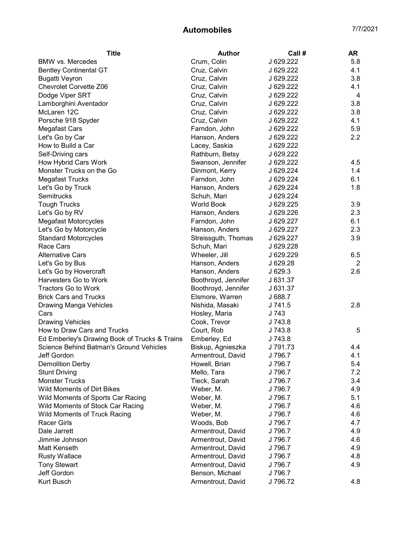| Title                                         | <b>Author</b>       | Call #    | <b>AR</b>      |
|-----------------------------------------------|---------------------|-----------|----------------|
| <b>BMW</b> vs. Mercedes                       | Crum, Colin         | J 629.222 | 5.8            |
| <b>Bentley Continental GT</b>                 | Cruz, Calvin        | J 629.222 | 4.1            |
| <b>Bugatti Veyron</b>                         | Cruz, Calvin        | J 629.222 | 3.8            |
| <b>Chevrolet Corvette Z06</b>                 | Cruz, Calvin        | J 629.222 | 4.1            |
| Dodge Viper SRT                               | Cruz, Calvin        | J 629.222 | 4              |
| Lamborghini Aventador                         | Cruz, Calvin        | J 629.222 | 3.8            |
| McLaren 12C                                   | Cruz, Calvin        | J 629.222 | 3.8            |
| Porsche 918 Spyder                            | Cruz, Calvin        | J 629.222 | 4.1            |
| Megafast Cars                                 | Farndon, John       | J 629.222 | 5.9            |
| Let's Go by Car                               | Hanson, Anders      | J 629.222 | 2.2            |
| How to Build a Car                            | Lacey, Saskia       | J 629.222 |                |
| Self-Driving cars                             | Rathburn, Betsy     | J 629.222 |                |
| How Hybrid Cars Work                          | Swanson, Jennifer   | J 629.222 | 4.5            |
| Monster Trucks on the Go                      | Dinmont, Kerry      | J 629.224 | 1.4            |
| <b>Megafast Trucks</b>                        | Farndon, John       | J 629.224 | 6.1            |
| Let's Go by Truck                             | Hanson, Anders      | J 629.224 | 1.8            |
| <b>Semitrucks</b>                             | Schuh, Mari         | J 629.224 |                |
| <b>Tough Trucks</b>                           | <b>World Book</b>   | J 629.225 | 3.9            |
| Let's Go by RV                                | Hanson, Anders      | J 629.226 | 2.3            |
| <b>Megafast Motorcycles</b>                   | Farndon, John       | J 629.227 | 6.1            |
| Let's Go by Motorcycle                        | Hanson, Anders      | J 629.227 | 2.3            |
| <b>Standard Motorcycles</b>                   | Streissguth, Thomas | J 629.227 | 3.9            |
| Race Cars                                     | Schuh, Mari         | J 629.228 |                |
| <b>Alternative Cars</b>                       | Wheeler, Jill       | J 629.229 | 6.5            |
| Let's Go by Bus                               | Hanson, Anders      | J 629.28  | $\overline{2}$ |
| Let's Go by Hovercraft                        | Hanson, Anders      | J 629.3   | 2.6            |
| Harvesters Go to Work                         | Boothroyd, Jennifer | J 631.37  |                |
| <b>Tractors Go to Work</b>                    | Boothroyd, Jennifer | J 631.37  |                |
| <b>Brick Cars and Trucks</b>                  | Elsmore, Warren     | J 688.7   |                |
| Drawing Manga Vehicles                        | Nishida, Masaki     | J 741.5   | 2.8            |
| Cars                                          | Hosley, Maria       | J 743     |                |
| <b>Drawing Vehicles</b>                       | Cook, Trevor        | J 743.8   |                |
| How to Draw Cars and Trucks                   | Court, Rob          | J 743.8   | 5              |
| Ed Emberley's Drawing Book of Trucks & Trains | Emberley, Ed        | J 743.8   |                |
| Science Behind Batman's Ground Vehicles       | Biskup, Agnieszka   | J 791.73  | 4.4            |
| Jeff Gordon                                   | Armentrout, David   | J 796.7   | 4.1            |
| <b>Demolition Derby</b>                       | Howell, Brian       | J 796.7   | 5.4            |
| <b>Stunt Driving</b>                          | Mello, Tara         | J 796.7   | 7.2            |
| <b>Monster Trucks</b>                         | Tieck, Sarah        | J 796.7   | 3.4            |
| <b>Wild Moments of Dirt Bikes</b>             | Weber, M.           | J 796.7   | 4.9            |
| Wild Moments of Sports Car Racing             | Weber, M.           | J 796.7   | 5.1            |
| Wild Moments of Stock Car Racing              | Weber, M.           | J 796.7   | 4.6            |
| Wild Moments of Truck Racing                  | Weber, M.           | J 796.7   | 4.6            |
| <b>Racer Girls</b>                            | Woods, Bob          | J 796.7   | 4.7            |
| Dale Jarrett                                  | Armentrout, David   | J 796.7   | 4.9            |
| Jimmie Johnson                                | Armentrout, David   | J 796.7   | 4.6            |
| Matt Kenseth                                  | Armentrout, David   | J 796.7   | 4.9            |
| <b>Rusty Wallace</b>                          | Armentrout, David   | J 796.7   | 4.8            |
| <b>Tony Stewart</b>                           | Armentrout, David   | J 796.7   | 4.9            |
| Jeff Gordon                                   | Benson, Michael     | J 796.7   |                |
| Kurt Busch                                    | Armentrout, David   | J 796.72  | 4.8            |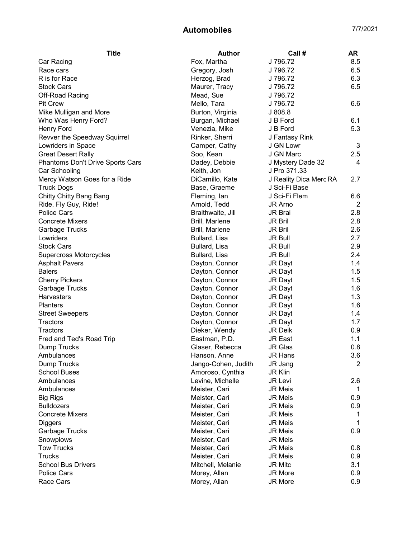| J 796.72<br>Fox, Martha<br>8.5<br>Car Racing<br>J 796.72<br>6.5<br>Race cars<br>Gregory, Josh<br>R is for Race<br>J 796.72<br>6.3<br>Herzog, Brad<br><b>Stock Cars</b><br>Maurer, Tracy<br>J 796.72<br>6.5<br>Mead, Sue<br>J 796.72<br>Off-Road Racing<br><b>Pit Crew</b><br>Mello, Tara<br>J 796.72<br>6.6<br>J 808.8<br>Mike Mulligan and More<br>Burton, Virginia<br>Burgan, Michael<br>Who Was Henry Ford?<br>J B Ford<br>6.1<br>5.3<br>Venezia, Mike<br>Henry Ford<br>J B Ford<br>Revver the Speedway Squirrel<br>Rinker, Sherri<br>J Fantasy Rink<br>3<br>Lowriders in Space<br>Camper, Cathy<br>J GN Lowr<br>J GN Marc<br>2.5<br><b>Great Desert Rally</b><br>Soo, Kean<br>Phantoms Don't Drive Sports Cars<br>J Mystery Dade 32<br>Dadey, Debbie<br>4<br>J Pro 371.33<br>Car Schooling<br>Keith, Jon<br>DiCamillo, Kate<br>Mercy Watson Goes for a Ride<br>J Reality Dica Merc RA<br>2.7<br>J Sci-Fi Base<br><b>Truck Dogs</b><br>Base, Graeme<br>Chitty Chitty Bang Bang<br>J Sci-Fi Flem<br>Fleming, lan<br>6.6<br>JR Arno<br>$\overline{2}$<br>Ride, Fly Guy, Ride!<br>Arnold, Tedd<br><b>Police Cars</b><br>Braithwaite, Jill<br>JR Brai<br>2.8<br><b>Concrete Mixers</b><br>Brill, Marlene<br>2.8<br><b>JR Bril</b><br>2.6<br><b>Garbage Trucks</b><br>Brill, Marlene<br><b>JR Bril</b><br>2.7<br>Lowriders<br>Bullard, Lisa<br><b>JR Bull</b><br><b>Stock Cars</b><br>2.9<br>Bullard, Lisa<br><b>JR Bull</b><br>2.4<br>Supercross Motorcycles<br>Bullard, Lisa<br><b>JR Bull</b><br>1.4<br><b>Asphalt Pavers</b><br>Dayton, Connor<br>JR Dayt<br>1.5<br><b>Balers</b><br>Dayton, Connor<br><b>JR Dayt</b><br>1.5<br>Dayton, Connor<br><b>Cherry Pickers</b><br><b>JR Dayt</b><br>1.6<br>Garbage Trucks<br>Dayton, Connor<br>JR Dayt<br>1.3<br><b>Harvesters</b><br>Dayton, Connor<br>JR Dayt<br>1.6<br><b>Planters</b><br>Dayton, Connor<br>JR Dayt<br><b>Street Sweepers</b><br>Dayton, Connor<br>JR Dayt<br>1.4<br>Dayton, Connor<br>Tractors<br>JR Dayt<br>1.7<br>Dieker, Wendy<br>0.9<br>Tractors<br>JR Deik<br>Eastman, P.D.<br>JR East<br>Fred and Ted's Road Trip<br>1.1<br><b>JR Glas</b><br>0.8<br>Dump Trucks<br>Glaser, Rebecca<br>3.6<br><b>JR Hans</b><br>Ambulances<br>Hanson, Anne<br>2<br>Dump Trucks<br>Jango-Cohen, Judith<br>JR Jang<br><b>School Buses</b><br><b>JR Klin</b><br>Amoroso, Cynthia<br>JR Levi<br>Ambulances<br>Levine, Michelle<br>2.6<br>Ambulances<br><b>JR Meis</b><br>Meister, Cari<br>1<br><b>JR Meis</b><br>0.9<br><b>Big Rigs</b><br>Meister, Cari<br><b>JR Meis</b><br><b>Bulldozers</b><br>Meister, Cari<br>0.9<br><b>Concrete Mixers</b><br>Meister, Cari<br><b>JR Meis</b><br>1<br><b>JR Meis</b><br>Meister, Cari<br>Diggers<br>Garbage Trucks<br><b>JR Meis</b><br>0.9<br>Meister, Cari<br><b>JR Meis</b><br>Snowplows<br>Meister, Cari<br><b>Tow Trucks</b><br>JR Meis<br>0.8<br>Meister, Cari<br><b>Trucks</b><br>0.9<br>Meister, Cari<br><b>JR Meis</b><br><b>School Bus Drivers</b><br>Mitchell, Melanie<br><b>JR Mitc</b><br>3.1<br>Police Cars<br>Morey, Allan<br>JR More<br>0.9 | <b>Title</b> | <b>Author</b> | Call #  | <b>AR</b> |
|-----------------------------------------------------------------------------------------------------------------------------------------------------------------------------------------------------------------------------------------------------------------------------------------------------------------------------------------------------------------------------------------------------------------------------------------------------------------------------------------------------------------------------------------------------------------------------------------------------------------------------------------------------------------------------------------------------------------------------------------------------------------------------------------------------------------------------------------------------------------------------------------------------------------------------------------------------------------------------------------------------------------------------------------------------------------------------------------------------------------------------------------------------------------------------------------------------------------------------------------------------------------------------------------------------------------------------------------------------------------------------------------------------------------------------------------------------------------------------------------------------------------------------------------------------------------------------------------------------------------------------------------------------------------------------------------------------------------------------------------------------------------------------------------------------------------------------------------------------------------------------------------------------------------------------------------------------------------------------------------------------------------------------------------------------------------------------------------------------------------------------------------------------------------------------------------------------------------------------------------------------------------------------------------------------------------------------------------------------------------------------------------------------------------------------------------------------------------------------------------------------------------------------------------------------------------------------------------------------------------------------------------------------------------------------------------------------------------------------------------------------------------------------------------------------------------------------------------------------------------------------------------------------------------------------------------------------------------------------------------------------------------------------------------------------|--------------|---------------|---------|-----------|
|                                                                                                                                                                                                                                                                                                                                                                                                                                                                                                                                                                                                                                                                                                                                                                                                                                                                                                                                                                                                                                                                                                                                                                                                                                                                                                                                                                                                                                                                                                                                                                                                                                                                                                                                                                                                                                                                                                                                                                                                                                                                                                                                                                                                                                                                                                                                                                                                                                                                                                                                                                                                                                                                                                                                                                                                                                                                                                                                                                                                                                                     |              |               |         |           |
|                                                                                                                                                                                                                                                                                                                                                                                                                                                                                                                                                                                                                                                                                                                                                                                                                                                                                                                                                                                                                                                                                                                                                                                                                                                                                                                                                                                                                                                                                                                                                                                                                                                                                                                                                                                                                                                                                                                                                                                                                                                                                                                                                                                                                                                                                                                                                                                                                                                                                                                                                                                                                                                                                                                                                                                                                                                                                                                                                                                                                                                     |              |               |         |           |
|                                                                                                                                                                                                                                                                                                                                                                                                                                                                                                                                                                                                                                                                                                                                                                                                                                                                                                                                                                                                                                                                                                                                                                                                                                                                                                                                                                                                                                                                                                                                                                                                                                                                                                                                                                                                                                                                                                                                                                                                                                                                                                                                                                                                                                                                                                                                                                                                                                                                                                                                                                                                                                                                                                                                                                                                                                                                                                                                                                                                                                                     |              |               |         |           |
|                                                                                                                                                                                                                                                                                                                                                                                                                                                                                                                                                                                                                                                                                                                                                                                                                                                                                                                                                                                                                                                                                                                                                                                                                                                                                                                                                                                                                                                                                                                                                                                                                                                                                                                                                                                                                                                                                                                                                                                                                                                                                                                                                                                                                                                                                                                                                                                                                                                                                                                                                                                                                                                                                                                                                                                                                                                                                                                                                                                                                                                     |              |               |         |           |
|                                                                                                                                                                                                                                                                                                                                                                                                                                                                                                                                                                                                                                                                                                                                                                                                                                                                                                                                                                                                                                                                                                                                                                                                                                                                                                                                                                                                                                                                                                                                                                                                                                                                                                                                                                                                                                                                                                                                                                                                                                                                                                                                                                                                                                                                                                                                                                                                                                                                                                                                                                                                                                                                                                                                                                                                                                                                                                                                                                                                                                                     |              |               |         |           |
|                                                                                                                                                                                                                                                                                                                                                                                                                                                                                                                                                                                                                                                                                                                                                                                                                                                                                                                                                                                                                                                                                                                                                                                                                                                                                                                                                                                                                                                                                                                                                                                                                                                                                                                                                                                                                                                                                                                                                                                                                                                                                                                                                                                                                                                                                                                                                                                                                                                                                                                                                                                                                                                                                                                                                                                                                                                                                                                                                                                                                                                     |              |               |         |           |
|                                                                                                                                                                                                                                                                                                                                                                                                                                                                                                                                                                                                                                                                                                                                                                                                                                                                                                                                                                                                                                                                                                                                                                                                                                                                                                                                                                                                                                                                                                                                                                                                                                                                                                                                                                                                                                                                                                                                                                                                                                                                                                                                                                                                                                                                                                                                                                                                                                                                                                                                                                                                                                                                                                                                                                                                                                                                                                                                                                                                                                                     |              |               |         |           |
|                                                                                                                                                                                                                                                                                                                                                                                                                                                                                                                                                                                                                                                                                                                                                                                                                                                                                                                                                                                                                                                                                                                                                                                                                                                                                                                                                                                                                                                                                                                                                                                                                                                                                                                                                                                                                                                                                                                                                                                                                                                                                                                                                                                                                                                                                                                                                                                                                                                                                                                                                                                                                                                                                                                                                                                                                                                                                                                                                                                                                                                     |              |               |         |           |
|                                                                                                                                                                                                                                                                                                                                                                                                                                                                                                                                                                                                                                                                                                                                                                                                                                                                                                                                                                                                                                                                                                                                                                                                                                                                                                                                                                                                                                                                                                                                                                                                                                                                                                                                                                                                                                                                                                                                                                                                                                                                                                                                                                                                                                                                                                                                                                                                                                                                                                                                                                                                                                                                                                                                                                                                                                                                                                                                                                                                                                                     |              |               |         |           |
|                                                                                                                                                                                                                                                                                                                                                                                                                                                                                                                                                                                                                                                                                                                                                                                                                                                                                                                                                                                                                                                                                                                                                                                                                                                                                                                                                                                                                                                                                                                                                                                                                                                                                                                                                                                                                                                                                                                                                                                                                                                                                                                                                                                                                                                                                                                                                                                                                                                                                                                                                                                                                                                                                                                                                                                                                                                                                                                                                                                                                                                     |              |               |         |           |
|                                                                                                                                                                                                                                                                                                                                                                                                                                                                                                                                                                                                                                                                                                                                                                                                                                                                                                                                                                                                                                                                                                                                                                                                                                                                                                                                                                                                                                                                                                                                                                                                                                                                                                                                                                                                                                                                                                                                                                                                                                                                                                                                                                                                                                                                                                                                                                                                                                                                                                                                                                                                                                                                                                                                                                                                                                                                                                                                                                                                                                                     |              |               |         |           |
|                                                                                                                                                                                                                                                                                                                                                                                                                                                                                                                                                                                                                                                                                                                                                                                                                                                                                                                                                                                                                                                                                                                                                                                                                                                                                                                                                                                                                                                                                                                                                                                                                                                                                                                                                                                                                                                                                                                                                                                                                                                                                                                                                                                                                                                                                                                                                                                                                                                                                                                                                                                                                                                                                                                                                                                                                                                                                                                                                                                                                                                     |              |               |         |           |
|                                                                                                                                                                                                                                                                                                                                                                                                                                                                                                                                                                                                                                                                                                                                                                                                                                                                                                                                                                                                                                                                                                                                                                                                                                                                                                                                                                                                                                                                                                                                                                                                                                                                                                                                                                                                                                                                                                                                                                                                                                                                                                                                                                                                                                                                                                                                                                                                                                                                                                                                                                                                                                                                                                                                                                                                                                                                                                                                                                                                                                                     |              |               |         |           |
|                                                                                                                                                                                                                                                                                                                                                                                                                                                                                                                                                                                                                                                                                                                                                                                                                                                                                                                                                                                                                                                                                                                                                                                                                                                                                                                                                                                                                                                                                                                                                                                                                                                                                                                                                                                                                                                                                                                                                                                                                                                                                                                                                                                                                                                                                                                                                                                                                                                                                                                                                                                                                                                                                                                                                                                                                                                                                                                                                                                                                                                     |              |               |         |           |
|                                                                                                                                                                                                                                                                                                                                                                                                                                                                                                                                                                                                                                                                                                                                                                                                                                                                                                                                                                                                                                                                                                                                                                                                                                                                                                                                                                                                                                                                                                                                                                                                                                                                                                                                                                                                                                                                                                                                                                                                                                                                                                                                                                                                                                                                                                                                                                                                                                                                                                                                                                                                                                                                                                                                                                                                                                                                                                                                                                                                                                                     |              |               |         |           |
|                                                                                                                                                                                                                                                                                                                                                                                                                                                                                                                                                                                                                                                                                                                                                                                                                                                                                                                                                                                                                                                                                                                                                                                                                                                                                                                                                                                                                                                                                                                                                                                                                                                                                                                                                                                                                                                                                                                                                                                                                                                                                                                                                                                                                                                                                                                                                                                                                                                                                                                                                                                                                                                                                                                                                                                                                                                                                                                                                                                                                                                     |              |               |         |           |
|                                                                                                                                                                                                                                                                                                                                                                                                                                                                                                                                                                                                                                                                                                                                                                                                                                                                                                                                                                                                                                                                                                                                                                                                                                                                                                                                                                                                                                                                                                                                                                                                                                                                                                                                                                                                                                                                                                                                                                                                                                                                                                                                                                                                                                                                                                                                                                                                                                                                                                                                                                                                                                                                                                                                                                                                                                                                                                                                                                                                                                                     |              |               |         |           |
|                                                                                                                                                                                                                                                                                                                                                                                                                                                                                                                                                                                                                                                                                                                                                                                                                                                                                                                                                                                                                                                                                                                                                                                                                                                                                                                                                                                                                                                                                                                                                                                                                                                                                                                                                                                                                                                                                                                                                                                                                                                                                                                                                                                                                                                                                                                                                                                                                                                                                                                                                                                                                                                                                                                                                                                                                                                                                                                                                                                                                                                     |              |               |         |           |
|                                                                                                                                                                                                                                                                                                                                                                                                                                                                                                                                                                                                                                                                                                                                                                                                                                                                                                                                                                                                                                                                                                                                                                                                                                                                                                                                                                                                                                                                                                                                                                                                                                                                                                                                                                                                                                                                                                                                                                                                                                                                                                                                                                                                                                                                                                                                                                                                                                                                                                                                                                                                                                                                                                                                                                                                                                                                                                                                                                                                                                                     |              |               |         |           |
|                                                                                                                                                                                                                                                                                                                                                                                                                                                                                                                                                                                                                                                                                                                                                                                                                                                                                                                                                                                                                                                                                                                                                                                                                                                                                                                                                                                                                                                                                                                                                                                                                                                                                                                                                                                                                                                                                                                                                                                                                                                                                                                                                                                                                                                                                                                                                                                                                                                                                                                                                                                                                                                                                                                                                                                                                                                                                                                                                                                                                                                     |              |               |         |           |
|                                                                                                                                                                                                                                                                                                                                                                                                                                                                                                                                                                                                                                                                                                                                                                                                                                                                                                                                                                                                                                                                                                                                                                                                                                                                                                                                                                                                                                                                                                                                                                                                                                                                                                                                                                                                                                                                                                                                                                                                                                                                                                                                                                                                                                                                                                                                                                                                                                                                                                                                                                                                                                                                                                                                                                                                                                                                                                                                                                                                                                                     |              |               |         |           |
|                                                                                                                                                                                                                                                                                                                                                                                                                                                                                                                                                                                                                                                                                                                                                                                                                                                                                                                                                                                                                                                                                                                                                                                                                                                                                                                                                                                                                                                                                                                                                                                                                                                                                                                                                                                                                                                                                                                                                                                                                                                                                                                                                                                                                                                                                                                                                                                                                                                                                                                                                                                                                                                                                                                                                                                                                                                                                                                                                                                                                                                     |              |               |         |           |
|                                                                                                                                                                                                                                                                                                                                                                                                                                                                                                                                                                                                                                                                                                                                                                                                                                                                                                                                                                                                                                                                                                                                                                                                                                                                                                                                                                                                                                                                                                                                                                                                                                                                                                                                                                                                                                                                                                                                                                                                                                                                                                                                                                                                                                                                                                                                                                                                                                                                                                                                                                                                                                                                                                                                                                                                                                                                                                                                                                                                                                                     |              |               |         |           |
|                                                                                                                                                                                                                                                                                                                                                                                                                                                                                                                                                                                                                                                                                                                                                                                                                                                                                                                                                                                                                                                                                                                                                                                                                                                                                                                                                                                                                                                                                                                                                                                                                                                                                                                                                                                                                                                                                                                                                                                                                                                                                                                                                                                                                                                                                                                                                                                                                                                                                                                                                                                                                                                                                                                                                                                                                                                                                                                                                                                                                                                     |              |               |         |           |
|                                                                                                                                                                                                                                                                                                                                                                                                                                                                                                                                                                                                                                                                                                                                                                                                                                                                                                                                                                                                                                                                                                                                                                                                                                                                                                                                                                                                                                                                                                                                                                                                                                                                                                                                                                                                                                                                                                                                                                                                                                                                                                                                                                                                                                                                                                                                                                                                                                                                                                                                                                                                                                                                                                                                                                                                                                                                                                                                                                                                                                                     |              |               |         |           |
|                                                                                                                                                                                                                                                                                                                                                                                                                                                                                                                                                                                                                                                                                                                                                                                                                                                                                                                                                                                                                                                                                                                                                                                                                                                                                                                                                                                                                                                                                                                                                                                                                                                                                                                                                                                                                                                                                                                                                                                                                                                                                                                                                                                                                                                                                                                                                                                                                                                                                                                                                                                                                                                                                                                                                                                                                                                                                                                                                                                                                                                     |              |               |         |           |
|                                                                                                                                                                                                                                                                                                                                                                                                                                                                                                                                                                                                                                                                                                                                                                                                                                                                                                                                                                                                                                                                                                                                                                                                                                                                                                                                                                                                                                                                                                                                                                                                                                                                                                                                                                                                                                                                                                                                                                                                                                                                                                                                                                                                                                                                                                                                                                                                                                                                                                                                                                                                                                                                                                                                                                                                                                                                                                                                                                                                                                                     |              |               |         |           |
|                                                                                                                                                                                                                                                                                                                                                                                                                                                                                                                                                                                                                                                                                                                                                                                                                                                                                                                                                                                                                                                                                                                                                                                                                                                                                                                                                                                                                                                                                                                                                                                                                                                                                                                                                                                                                                                                                                                                                                                                                                                                                                                                                                                                                                                                                                                                                                                                                                                                                                                                                                                                                                                                                                                                                                                                                                                                                                                                                                                                                                                     |              |               |         |           |
|                                                                                                                                                                                                                                                                                                                                                                                                                                                                                                                                                                                                                                                                                                                                                                                                                                                                                                                                                                                                                                                                                                                                                                                                                                                                                                                                                                                                                                                                                                                                                                                                                                                                                                                                                                                                                                                                                                                                                                                                                                                                                                                                                                                                                                                                                                                                                                                                                                                                                                                                                                                                                                                                                                                                                                                                                                                                                                                                                                                                                                                     |              |               |         |           |
|                                                                                                                                                                                                                                                                                                                                                                                                                                                                                                                                                                                                                                                                                                                                                                                                                                                                                                                                                                                                                                                                                                                                                                                                                                                                                                                                                                                                                                                                                                                                                                                                                                                                                                                                                                                                                                                                                                                                                                                                                                                                                                                                                                                                                                                                                                                                                                                                                                                                                                                                                                                                                                                                                                                                                                                                                                                                                                                                                                                                                                                     |              |               |         |           |
|                                                                                                                                                                                                                                                                                                                                                                                                                                                                                                                                                                                                                                                                                                                                                                                                                                                                                                                                                                                                                                                                                                                                                                                                                                                                                                                                                                                                                                                                                                                                                                                                                                                                                                                                                                                                                                                                                                                                                                                                                                                                                                                                                                                                                                                                                                                                                                                                                                                                                                                                                                                                                                                                                                                                                                                                                                                                                                                                                                                                                                                     |              |               |         |           |
|                                                                                                                                                                                                                                                                                                                                                                                                                                                                                                                                                                                                                                                                                                                                                                                                                                                                                                                                                                                                                                                                                                                                                                                                                                                                                                                                                                                                                                                                                                                                                                                                                                                                                                                                                                                                                                                                                                                                                                                                                                                                                                                                                                                                                                                                                                                                                                                                                                                                                                                                                                                                                                                                                                                                                                                                                                                                                                                                                                                                                                                     |              |               |         |           |
|                                                                                                                                                                                                                                                                                                                                                                                                                                                                                                                                                                                                                                                                                                                                                                                                                                                                                                                                                                                                                                                                                                                                                                                                                                                                                                                                                                                                                                                                                                                                                                                                                                                                                                                                                                                                                                                                                                                                                                                                                                                                                                                                                                                                                                                                                                                                                                                                                                                                                                                                                                                                                                                                                                                                                                                                                                                                                                                                                                                                                                                     |              |               |         |           |
|                                                                                                                                                                                                                                                                                                                                                                                                                                                                                                                                                                                                                                                                                                                                                                                                                                                                                                                                                                                                                                                                                                                                                                                                                                                                                                                                                                                                                                                                                                                                                                                                                                                                                                                                                                                                                                                                                                                                                                                                                                                                                                                                                                                                                                                                                                                                                                                                                                                                                                                                                                                                                                                                                                                                                                                                                                                                                                                                                                                                                                                     |              |               |         |           |
|                                                                                                                                                                                                                                                                                                                                                                                                                                                                                                                                                                                                                                                                                                                                                                                                                                                                                                                                                                                                                                                                                                                                                                                                                                                                                                                                                                                                                                                                                                                                                                                                                                                                                                                                                                                                                                                                                                                                                                                                                                                                                                                                                                                                                                                                                                                                                                                                                                                                                                                                                                                                                                                                                                                                                                                                                                                                                                                                                                                                                                                     |              |               |         |           |
|                                                                                                                                                                                                                                                                                                                                                                                                                                                                                                                                                                                                                                                                                                                                                                                                                                                                                                                                                                                                                                                                                                                                                                                                                                                                                                                                                                                                                                                                                                                                                                                                                                                                                                                                                                                                                                                                                                                                                                                                                                                                                                                                                                                                                                                                                                                                                                                                                                                                                                                                                                                                                                                                                                                                                                                                                                                                                                                                                                                                                                                     |              |               |         |           |
|                                                                                                                                                                                                                                                                                                                                                                                                                                                                                                                                                                                                                                                                                                                                                                                                                                                                                                                                                                                                                                                                                                                                                                                                                                                                                                                                                                                                                                                                                                                                                                                                                                                                                                                                                                                                                                                                                                                                                                                                                                                                                                                                                                                                                                                                                                                                                                                                                                                                                                                                                                                                                                                                                                                                                                                                                                                                                                                                                                                                                                                     |              |               |         |           |
|                                                                                                                                                                                                                                                                                                                                                                                                                                                                                                                                                                                                                                                                                                                                                                                                                                                                                                                                                                                                                                                                                                                                                                                                                                                                                                                                                                                                                                                                                                                                                                                                                                                                                                                                                                                                                                                                                                                                                                                                                                                                                                                                                                                                                                                                                                                                                                                                                                                                                                                                                                                                                                                                                                                                                                                                                                                                                                                                                                                                                                                     |              |               |         |           |
|                                                                                                                                                                                                                                                                                                                                                                                                                                                                                                                                                                                                                                                                                                                                                                                                                                                                                                                                                                                                                                                                                                                                                                                                                                                                                                                                                                                                                                                                                                                                                                                                                                                                                                                                                                                                                                                                                                                                                                                                                                                                                                                                                                                                                                                                                                                                                                                                                                                                                                                                                                                                                                                                                                                                                                                                                                                                                                                                                                                                                                                     |              |               |         |           |
|                                                                                                                                                                                                                                                                                                                                                                                                                                                                                                                                                                                                                                                                                                                                                                                                                                                                                                                                                                                                                                                                                                                                                                                                                                                                                                                                                                                                                                                                                                                                                                                                                                                                                                                                                                                                                                                                                                                                                                                                                                                                                                                                                                                                                                                                                                                                                                                                                                                                                                                                                                                                                                                                                                                                                                                                                                                                                                                                                                                                                                                     |              |               |         |           |
|                                                                                                                                                                                                                                                                                                                                                                                                                                                                                                                                                                                                                                                                                                                                                                                                                                                                                                                                                                                                                                                                                                                                                                                                                                                                                                                                                                                                                                                                                                                                                                                                                                                                                                                                                                                                                                                                                                                                                                                                                                                                                                                                                                                                                                                                                                                                                                                                                                                                                                                                                                                                                                                                                                                                                                                                                                                                                                                                                                                                                                                     |              |               |         |           |
|                                                                                                                                                                                                                                                                                                                                                                                                                                                                                                                                                                                                                                                                                                                                                                                                                                                                                                                                                                                                                                                                                                                                                                                                                                                                                                                                                                                                                                                                                                                                                                                                                                                                                                                                                                                                                                                                                                                                                                                                                                                                                                                                                                                                                                                                                                                                                                                                                                                                                                                                                                                                                                                                                                                                                                                                                                                                                                                                                                                                                                                     |              |               |         |           |
|                                                                                                                                                                                                                                                                                                                                                                                                                                                                                                                                                                                                                                                                                                                                                                                                                                                                                                                                                                                                                                                                                                                                                                                                                                                                                                                                                                                                                                                                                                                                                                                                                                                                                                                                                                                                                                                                                                                                                                                                                                                                                                                                                                                                                                                                                                                                                                                                                                                                                                                                                                                                                                                                                                                                                                                                                                                                                                                                                                                                                                                     |              |               |         |           |
|                                                                                                                                                                                                                                                                                                                                                                                                                                                                                                                                                                                                                                                                                                                                                                                                                                                                                                                                                                                                                                                                                                                                                                                                                                                                                                                                                                                                                                                                                                                                                                                                                                                                                                                                                                                                                                                                                                                                                                                                                                                                                                                                                                                                                                                                                                                                                                                                                                                                                                                                                                                                                                                                                                                                                                                                                                                                                                                                                                                                                                                     |              |               |         |           |
|                                                                                                                                                                                                                                                                                                                                                                                                                                                                                                                                                                                                                                                                                                                                                                                                                                                                                                                                                                                                                                                                                                                                                                                                                                                                                                                                                                                                                                                                                                                                                                                                                                                                                                                                                                                                                                                                                                                                                                                                                                                                                                                                                                                                                                                                                                                                                                                                                                                                                                                                                                                                                                                                                                                                                                                                                                                                                                                                                                                                                                                     |              |               |         |           |
|                                                                                                                                                                                                                                                                                                                                                                                                                                                                                                                                                                                                                                                                                                                                                                                                                                                                                                                                                                                                                                                                                                                                                                                                                                                                                                                                                                                                                                                                                                                                                                                                                                                                                                                                                                                                                                                                                                                                                                                                                                                                                                                                                                                                                                                                                                                                                                                                                                                                                                                                                                                                                                                                                                                                                                                                                                                                                                                                                                                                                                                     |              |               |         |           |
|                                                                                                                                                                                                                                                                                                                                                                                                                                                                                                                                                                                                                                                                                                                                                                                                                                                                                                                                                                                                                                                                                                                                                                                                                                                                                                                                                                                                                                                                                                                                                                                                                                                                                                                                                                                                                                                                                                                                                                                                                                                                                                                                                                                                                                                                                                                                                                                                                                                                                                                                                                                                                                                                                                                                                                                                                                                                                                                                                                                                                                                     |              |               |         |           |
|                                                                                                                                                                                                                                                                                                                                                                                                                                                                                                                                                                                                                                                                                                                                                                                                                                                                                                                                                                                                                                                                                                                                                                                                                                                                                                                                                                                                                                                                                                                                                                                                                                                                                                                                                                                                                                                                                                                                                                                                                                                                                                                                                                                                                                                                                                                                                                                                                                                                                                                                                                                                                                                                                                                                                                                                                                                                                                                                                                                                                                                     |              |               |         |           |
|                                                                                                                                                                                                                                                                                                                                                                                                                                                                                                                                                                                                                                                                                                                                                                                                                                                                                                                                                                                                                                                                                                                                                                                                                                                                                                                                                                                                                                                                                                                                                                                                                                                                                                                                                                                                                                                                                                                                                                                                                                                                                                                                                                                                                                                                                                                                                                                                                                                                                                                                                                                                                                                                                                                                                                                                                                                                                                                                                                                                                                                     |              |               |         |           |
|                                                                                                                                                                                                                                                                                                                                                                                                                                                                                                                                                                                                                                                                                                                                                                                                                                                                                                                                                                                                                                                                                                                                                                                                                                                                                                                                                                                                                                                                                                                                                                                                                                                                                                                                                                                                                                                                                                                                                                                                                                                                                                                                                                                                                                                                                                                                                                                                                                                                                                                                                                                                                                                                                                                                                                                                                                                                                                                                                                                                                                                     |              |               |         |           |
|                                                                                                                                                                                                                                                                                                                                                                                                                                                                                                                                                                                                                                                                                                                                                                                                                                                                                                                                                                                                                                                                                                                                                                                                                                                                                                                                                                                                                                                                                                                                                                                                                                                                                                                                                                                                                                                                                                                                                                                                                                                                                                                                                                                                                                                                                                                                                                                                                                                                                                                                                                                                                                                                                                                                                                                                                                                                                                                                                                                                                                                     | Race Cars    | Morey, Allan  | JR More | 0.9       |